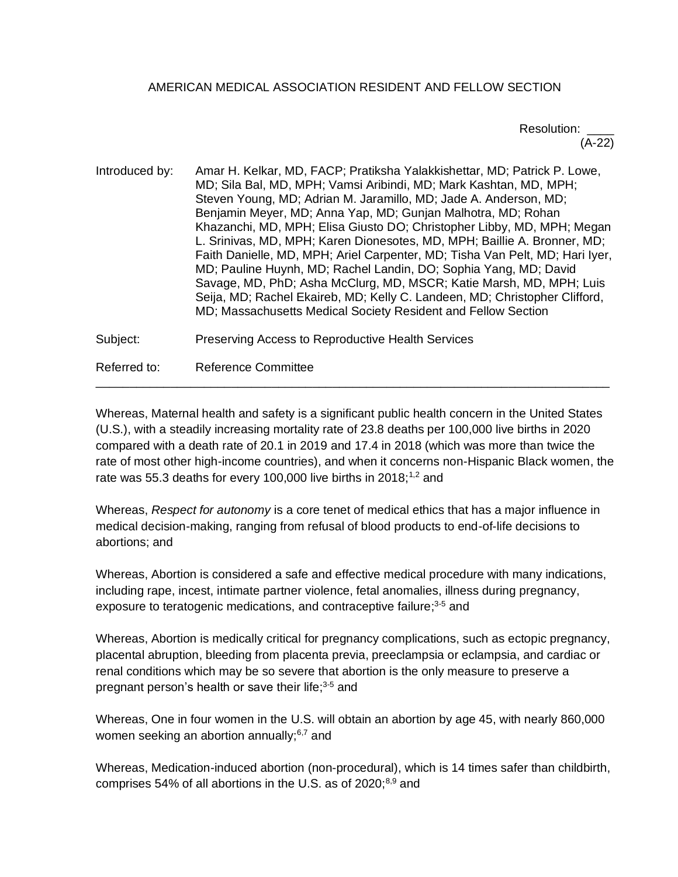# AMERICAN MEDICAL ASSOCIATION RESIDENT AND FELLOW SECTION

# Resolution: \_\_\_\_ (A-22)

Introduced by: Amar H. Kelkar, MD, FACP; Pratiksha Yalakkishettar, MD; Patrick P. Lowe, MD; Sila Bal, MD, MPH; Vamsi Aribindi, MD; Mark Kashtan, MD, MPH; Steven Young, MD; Adrian M. Jaramillo, MD; Jade A. Anderson, MD; Benjamin Meyer, MD; Anna Yap, MD; Gunjan Malhotra, MD; Rohan Khazanchi, MD, MPH; Elisa Giusto DO; Christopher Libby, MD, MPH; Megan L. Srinivas, MD, MPH; Karen Dionesotes, MD, MPH; Baillie A. Bronner, MD; Faith Danielle, MD, MPH; Ariel Carpenter, MD; Tisha Van Pelt, MD; Hari Iyer, MD; Pauline Huynh, MD; Rachel Landin, DO; Sophia Yang, MD; David Savage, MD, PhD; Asha McClurg, MD, MSCR; Katie Marsh, MD, MPH; Luis Seija, MD; Rachel Ekaireb, MD; Kelly C. Landeen, MD; Christopher Clifford, MD; Massachusetts Medical Society Resident and Fellow Section

Subject: Preserving Access to Reproductive Health Services

Referred to: Reference Committee

Whereas, Maternal health and safety is a significant public health concern in the United States (U.S.), with a steadily increasing mortality rate of 23.8 deaths per 100,000 live births in 2020 compared with a death rate of 20.1 in 2019 and 17.4 in 2018 (which was more than twice the rate of most other high-income countries), and when it concerns non-Hispanic Black women, the rate was 55.3 deaths for every 100,000 live births in 2018;<sup>1,2</sup> and

\_\_\_\_\_\_\_\_\_\_\_\_\_\_\_\_\_\_\_\_\_\_\_\_\_\_\_\_\_\_\_\_\_\_\_\_\_\_\_\_\_\_\_\_\_\_\_\_\_\_\_\_\_\_\_\_\_\_\_\_\_\_\_\_\_\_\_\_\_\_\_\_\_\_\_\_

Whereas, *Respect for autonomy* is a core tenet of medical ethics that has a major influence in medical decision-making, ranging from refusal of blood products to end-of-life decisions to abortions; and

Whereas, Abortion is considered a safe and effective medical procedure with many indications, including rape, incest, intimate partner violence, fetal anomalies, illness during pregnancy, exposure to teratogenic medications, and contraceptive failure;<sup>3-5</sup> and

Whereas, Abortion is medically critical for pregnancy complications, such as ectopic pregnancy, placental abruption, bleeding from placenta previa, preeclampsia or eclampsia, and cardiac or renal conditions which may be so severe that abortion is the only measure to preserve a pregnant person's health or save their life;<sup>3-5</sup> and

Whereas, One in four women in the U.S. will obtain an abortion by age 45, with nearly 860,000 women seeking an abortion annually; $6,7$  and

Whereas, Medication-induced abortion (non-procedural), which is 14 times safer than childbirth, comprises 54% of all abortions in the U.S. as of 2020; $8,9$  and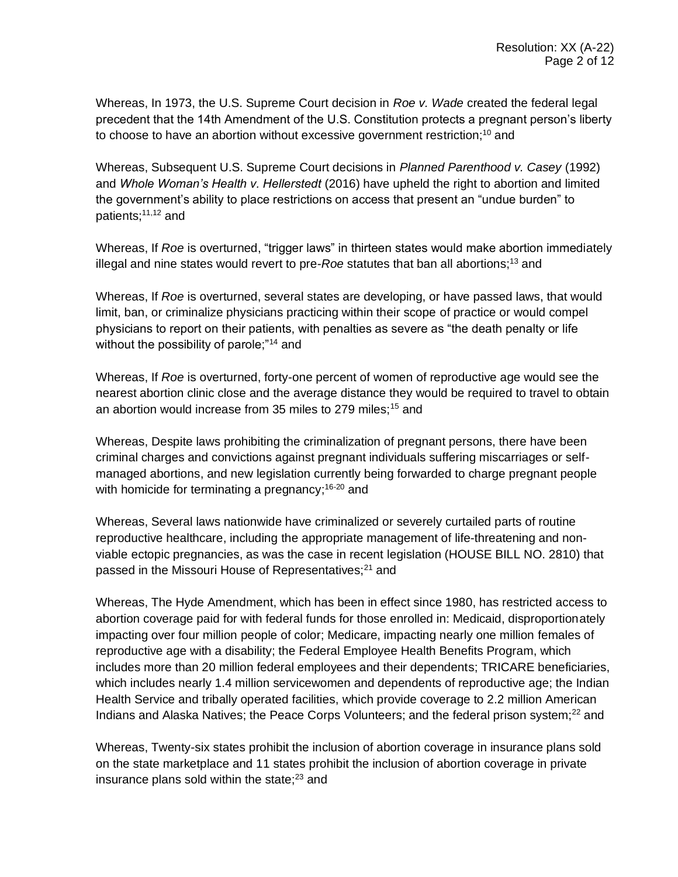Whereas, In 1973, the U.S. Supreme Court decision in *Roe v. Wade* created the federal legal precedent that the 14th Amendment of the U.S. Constitution protects a pregnant person's liberty to choose to have an abortion without excessive government restriction;<sup>10</sup> and

Whereas, Subsequent U.S. Supreme Court decisions in *Planned Parenthood v. Casey* (1992) and *Whole Woman's Health v. Hellerstedt* (2016) have upheld the right to abortion and limited the government's ability to place restrictions on access that present an "undue burden" to patients;<sup>11,12</sup> and

Whereas, If *Roe* is overturned, "trigger laws" in thirteen states would make abortion immediately illegal and nine states would revert to pre-*Roe* statutes that ban all abortions; <sup>13</sup> and

Whereas, If *Roe* is overturned, several states are developing, or have passed laws, that would limit, ban, or criminalize physicians practicing within their scope of practice or would compel physicians to report on their patients, with penalties as severe as "the death penalty or life without the possibility of parole;"<sup>14</sup> and

Whereas, If *Roe* is overturned, forty-one percent of women of reproductive age would see the nearest abortion clinic close and the average distance they would be required to travel to obtain an abortion would increase from 35 miles to 279 miles:<sup>15</sup> and

Whereas, Despite laws prohibiting the criminalization of pregnant persons, there have been criminal charges and convictions against pregnant individuals suffering miscarriages or selfmanaged abortions, and new legislation currently being forwarded to charge pregnant people with homicide for terminating a pregnancy;<sup>16-20</sup> and

Whereas, Several laws nationwide have criminalized or severely curtailed parts of routine reproductive healthcare, including the appropriate management of life-threatening and nonviable ectopic pregnancies, as was the case in recent legislation (HOUSE BILL NO. 2810) that passed in the Missouri House of Representatives;<sup>21</sup> and

Whereas, The Hyde Amendment, which has been in effect since 1980, has restricted access to abortion coverage paid for with federal funds for those enrolled in: Medicaid, disproportionately impacting over four million people of color; Medicare, impacting nearly one million females of reproductive age with a disability; the Federal Employee Health Benefits Program, which includes more than 20 million federal employees and their dependents; TRICARE beneficiaries, which includes nearly 1.4 million servicewomen and dependents of reproductive age; the Indian Health Service and tribally operated facilities, which provide coverage to 2.2 million American Indians and Alaska Natives; the Peace Corps Volunteers; and the federal prison system; $^{22}$  and

Whereas, Twenty-six states prohibit the inclusion of abortion coverage in insurance plans sold on the state marketplace and 11 states prohibit the inclusion of abortion coverage in private insurance plans sold within the state; $23$  and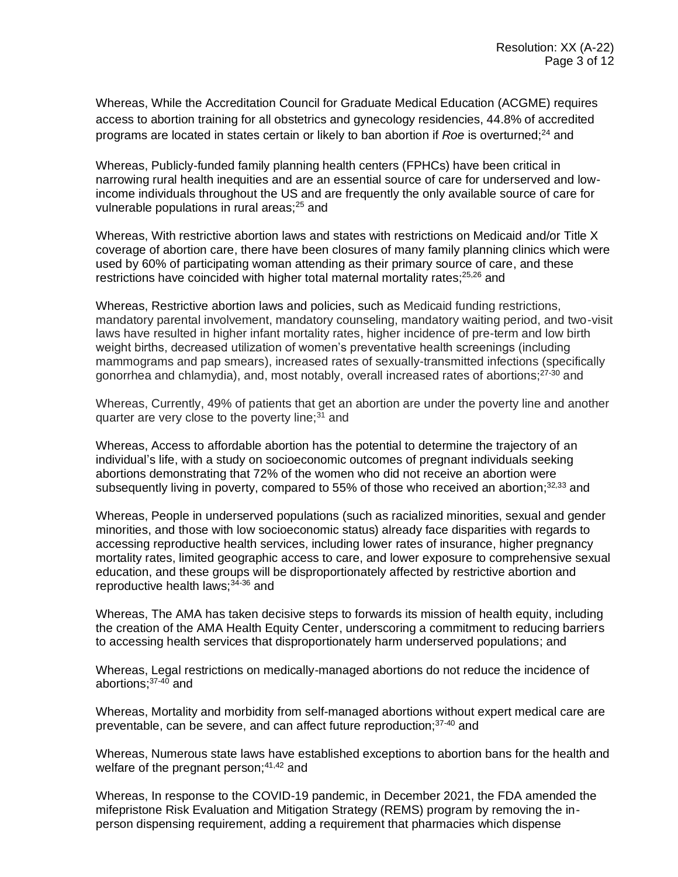Whereas, While the Accreditation Council for Graduate Medical Education (ACGME) requires access to abortion training for all obstetrics and gynecology residencies, 44.8% of accredited programs are located in states certain or likely to ban abortion if *Roe* is overturned:<sup>24</sup> and

Whereas, Publicly-funded family planning health centers (FPHCs) have been critical in narrowing rural health inequities and are an essential source of care for underserved and lowincome individuals throughout the US and are frequently the only available source of care for vulnerable populations in rural areas;<sup>25</sup> and

Whereas, With restrictive abortion laws and states with restrictions on Medicaid and/or Title X coverage of abortion care, there have been closures of many family planning clinics which were used by 60% of participating woman attending as their primary source of care, and these restrictions have coincided with higher total maternal mortality rates;<sup>25,26</sup> and

Whereas, Restrictive abortion laws and policies, such as Medicaid funding restrictions, mandatory parental involvement, mandatory counseling, mandatory waiting period, and two-visit laws have resulted in higher infant mortality rates, higher incidence of pre-term and low birth weight births, decreased utilization of women's preventative health screenings (including mammograms and pap smears), increased rates of sexually-transmitted infections (specifically gonorrhea and chlamydia), and, most notably, overall increased rates of abortions;<sup>27-30</sup> and

Whereas, Currently, 49% of patients that get an abortion are under the poverty line and another quarter are very close to the poverty line; $31$  and

Whereas, Access to affordable abortion has the potential to determine the trajectory of an individual's life, with a study on socioeconomic outcomes of pregnant individuals seeking abortions demonstrating that 72% of the women who did not receive an abortion were subsequently living in poverty, compared to 55% of those who received an abortion; $32,33$  and

Whereas, People in underserved populations (such as racialized minorities, sexual and gender minorities, and those with low socioeconomic status) already face disparities with regards to accessing reproductive health services, including lower rates of insurance, higher pregnancy mortality rates, limited geographic access to care, and lower exposure to comprehensive sexual education, and these groups will be disproportionately affected by restrictive abortion and reproductive health laws; $34-36$  and

Whereas, The AMA has taken decisive steps to forwards its mission of health equity, including the creation of the AMA Health Equity Center, underscoring a commitment to reducing barriers to accessing health services that disproportionately harm underserved populations; and

Whereas, Legal restrictions on medically-managed abortions do not reduce the incidence of abortions; 37-40 and

Whereas, Mortality and morbidity from self-managed abortions without expert medical care are preventable, can be severe, and can affect future reproduction;37-40 and

Whereas, Numerous state laws have established exceptions to abortion bans for the health and welfare of the pregnant person;<sup>41,42</sup> and

Whereas, In response to the COVID-19 pandemic, in December 2021, the FDA amended the mifepristone Risk Evaluation and Mitigation Strategy (REMS) program by removing the inperson dispensing requirement, adding a requirement that pharmacies which dispense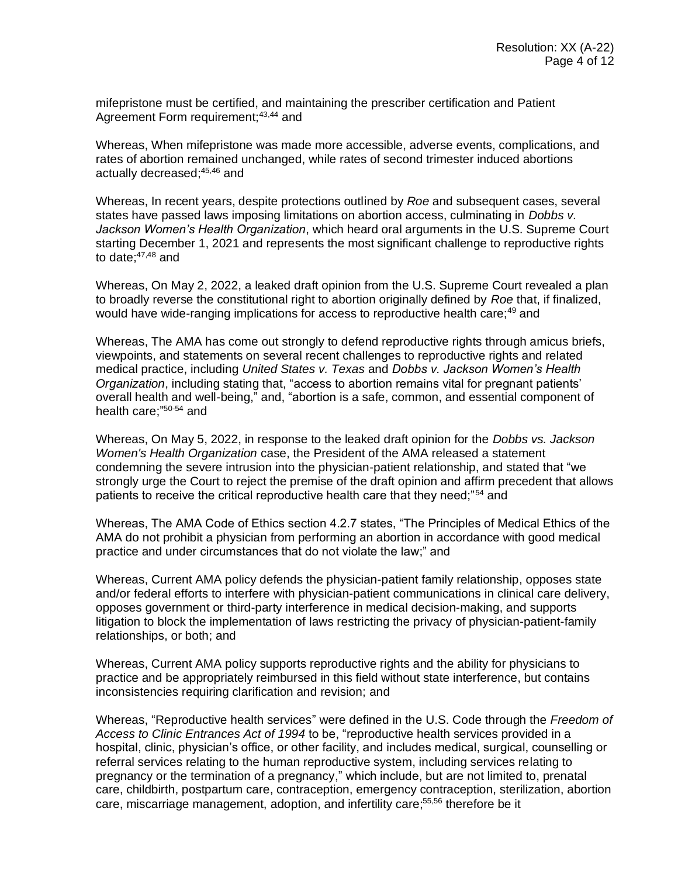mifepristone must be certified, and maintaining the prescriber certification and Patient Agreement Form requirement;<sup>43,44</sup> and

Whereas, When mifepristone was made more accessible, adverse events, complications, and rates of abortion remained unchanged, while rates of second trimester induced abortions actually decreased;45,46 and

Whereas, In recent years, despite protections outlined by *Roe* and subsequent cases, several states have passed laws imposing limitations on abortion access, culminating in *Dobbs v. Jackson Women's Health Organization*, which heard oral arguments in the U.S. Supreme Court starting December 1, 2021 and represents the most significant challenge to reproductive rights to date; $47,48$  and

Whereas, On May 2, 2022, a leaked draft opinion from the U.S. Supreme Court revealed a plan to broadly reverse the constitutional right to abortion originally defined by *Roe* that, if finalized, would have wide-ranging implications for access to reproductive health care:<sup>49</sup> and

Whereas, The AMA has come out strongly to defend reproductive rights through amicus briefs, viewpoints, and statements on several recent challenges to reproductive rights and related medical practice, including *United States v. Texas* and *Dobbs v. Jackson Women's Health Organization*, including stating that, "access to abortion remains vital for pregnant patients' overall health and well-being," and, "abortion is a safe, common, and essential component of health care;" 50-54 and

Whereas, On May 5, 2022, in response to the leaked draft opinion for the *Dobbs vs. Jackson Women's Health Organization* case, the President of the AMA released a statement condemning the severe intrusion into the physician-patient relationship, and stated that "we strongly urge the Court to reject the premise of the draft opinion and affirm precedent that allows patients to receive the critical reproductive health care that they need:"<sup>54</sup> and

Whereas, The AMA Code of Ethics section 4.2.7 states, "The Principles of Medical Ethics of the AMA do not prohibit a physician from performing an abortion in accordance with good medical practice and under circumstances that do not violate the law;" and

Whereas, Current AMA policy defends the physician-patient family relationship, opposes state and/or federal efforts to interfere with physician-patient communications in clinical care delivery, opposes government or third-party interference in medical decision-making, and supports litigation to block the implementation of laws restricting the privacy of physician-patient-family relationships, or both; and

Whereas, Current AMA policy supports reproductive rights and the ability for physicians to practice and be appropriately reimbursed in this field without state interference, but contains inconsistencies requiring clarification and revision; and

Whereas, "Reproductive health services" were defined in the U.S. Code through the *Freedom of Access to Clinic Entrances Act of 1994* to be, "reproductive health services provided in a hospital, clinic, physician's office, or other facility, and includes medical, surgical, counselling or referral services relating to the human reproductive system, including services relating to pregnancy or the termination of a pregnancy," which include, but are not limited to, prenatal care, childbirth, postpartum care, contraception, emergency contraception, sterilization, abortion care, miscarriage management, adoption, and infertility care;<sup>55,56</sup> therefore be it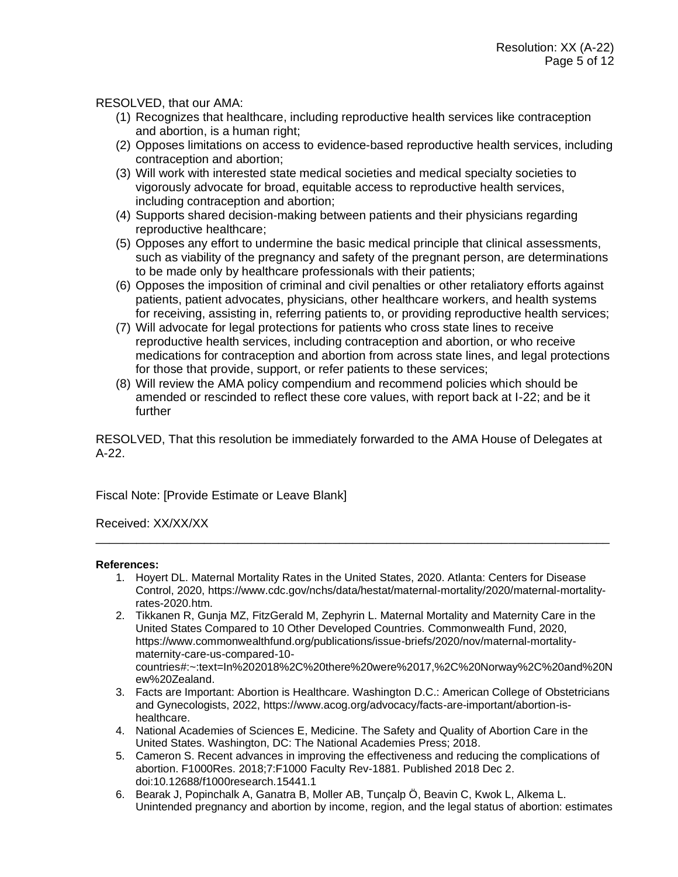RESOLVED, that our AMA:

- (1) Recognizes that healthcare, including reproductive health services like contraception and abortion, is a human right;
- (2) Opposes limitations on access to evidence-based reproductive health services, including contraception and abortion;
- (3) Will work with interested state medical societies and medical specialty societies to vigorously advocate for broad, equitable access to reproductive health services, including contraception and abortion;
- (4) Supports shared decision-making between patients and their physicians regarding reproductive healthcare;
- (5) Opposes any effort to undermine the basic medical principle that clinical assessments, such as viability of the pregnancy and safety of the pregnant person, are determinations to be made only by healthcare professionals with their patients;
- (6) Opposes the imposition of criminal and civil penalties or other retaliatory efforts against patients, patient advocates, physicians, other healthcare workers, and health systems for receiving, assisting in, referring patients to, or providing reproductive health services;
- (7) Will advocate for legal protections for patients who cross state lines to receive reproductive health services, including contraception and abortion, or who receive medications for contraception and abortion from across state lines, and legal protections for those that provide, support, or refer patients to these services;
- (8) Will review the AMA policy compendium and recommend policies which should be amended or rescinded to reflect these core values, with report back at I-22; and be it further

RESOLVED, That this resolution be immediately forwarded to the AMA House of Delegates at A-22.

Fiscal Note: [Provide Estimate or Leave Blank]

Received: XX/XX/XX

#### **References:**

1. Hoyert DL. Maternal Mortality Rates in the United States, 2020. Atlanta: Centers for Disease Control, 2020, https://www.cdc.gov/nchs/data/hestat/maternal-mortality/2020/maternal-mortalityrates-2020.htm.

\_\_\_\_\_\_\_\_\_\_\_\_\_\_\_\_\_\_\_\_\_\_\_\_\_\_\_\_\_\_\_\_\_\_\_\_\_\_\_\_\_\_\_\_\_\_\_\_\_\_\_\_\_\_\_\_\_\_\_\_\_\_\_\_\_\_\_\_\_\_\_\_\_\_\_\_

- 2. Tikkanen R, Gunja MZ, FitzGerald M, Zephyrin L. Maternal Mortality and Maternity Care in the United States Compared to 10 Other Developed Countries. Commonwealth Fund, 2020, https://www.commonwealthfund.org/publications/issue-briefs/2020/nov/maternal-mortalitymaternity-care-us-compared-10 countries#:~:text=In%202018%2C%20there%20were%2017,%2C%20Norway%2C%20and%20N ew%20Zealand.
- 3. Facts are Important: Abortion is Healthcare. Washington D.C.: American College of Obstetricians and Gynecologists, 2022, https://www.acog.org/advocacy/facts-are-important/abortion-ishealthcare.
- 4. National Academies of Sciences E, Medicine. The Safety and Quality of Abortion Care in the United States. Washington, DC: The National Academies Press; 2018.
- 5. Cameron S. Recent advances in improving the effectiveness and reducing the complications of abortion. F1000Res. 2018;7:F1000 Faculty Rev-1881. Published 2018 Dec 2. doi:10.12688/f1000research.15441.1
- 6. Bearak J, Popinchalk A, Ganatra B, Moller AB, Tunçalp Ö, Beavin C, Kwok L, Alkema L. Unintended pregnancy and abortion by income, region, and the legal status of abortion: estimates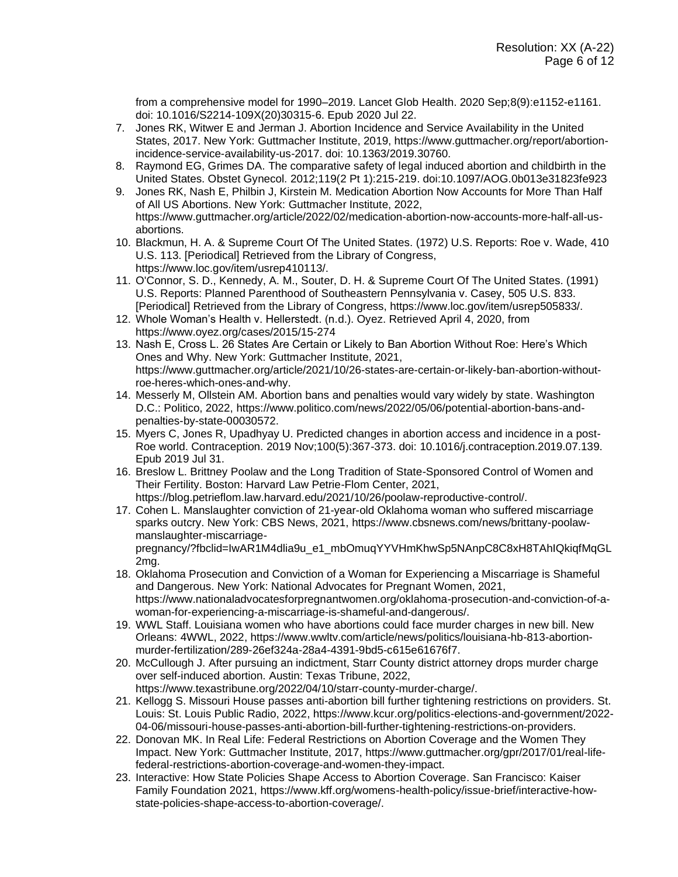from a comprehensive model for 1990–2019. Lancet Glob Health. 2020 Sep;8(9):e1152-e1161. doi: 10.1016/S2214-109X(20)30315-6. Epub 2020 Jul 22.

- 7. Jones RK, Witwer E and Jerman J. Abortion Incidence and Service Availability in the United States, 2017. New York: Guttmacher Institute, 2019, https://www.guttmacher.org/report/abortionincidence-service-availability-us-2017. doi: 10.1363/2019.30760.
- 8. Raymond EG, Grimes DA. The comparative safety of legal induced abortion and childbirth in the United States. Obstet Gynecol. 2012;119(2 Pt 1):215-219. doi:10.1097/AOG.0b013e31823fe923
- 9. Jones RK, Nash E, Philbin J, Kirstein M. Medication Abortion Now Accounts for More Than Half of All US Abortions. New York: Guttmacher Institute, 2022, https://www.guttmacher.org/article/2022/02/medication-abortion-now-accounts-more-half-all-usabortions.
- 10. Blackmun, H. A. & Supreme Court Of The United States. (1972) U.S. Reports: Roe v. Wade, 410 U.S. 113. [Periodical] Retrieved from the Library of Congress, https://www.loc.gov/item/usrep410113/.
- 11. O'Connor, S. D., Kennedy, A. M., Souter, D. H. & Supreme Court Of The United States. (1991) U.S. Reports: Planned Parenthood of Southeastern Pennsylvania v. Casey, 505 U.S. 833. [Periodical] Retrieved from the Library of Congress, https://www.loc.gov/item/usrep505833/.
- 12. Whole Woman's Health v. Hellerstedt. (n.d.). Oyez. Retrieved April 4, 2020, from https://www.oyez.org/cases/2015/15-274
- 13. Nash E, Cross L. 26 States Are Certain or Likely to Ban Abortion Without Roe: Here's Which Ones and Why. New York: Guttmacher Institute, 2021, https://www.guttmacher.org/article/2021/10/26-states-are-certain-or-likely-ban-abortion-withoutroe-heres-which-ones-and-why.
- 14. Messerly M, Ollstein AM. Abortion bans and penalties would vary widely by state. Washington D.C.: Politico, 2022, https://www.politico.com/news/2022/05/06/potential-abortion-bans-andpenalties-by-state-00030572.
- 15. Myers C, Jones R, Upadhyay U. Predicted changes in abortion access and incidence in a post-Roe world. Contraception. 2019 Nov;100(5):367-373. doi: 10.1016/j.contraception.2019.07.139. Epub 2019 Jul 31.
- 16. Breslow L. Brittney Poolaw and the Long Tradition of State-Sponsored Control of Women and Their Fertility. Boston: Harvard Law Petrie-Flom Center, 2021, https://blog.petrieflom.law.harvard.edu/2021/10/26/poolaw-reproductive-control/.
- 17. Cohen L. Manslaughter conviction of 21-year-old Oklahoma woman who suffered miscarriage sparks outcry. New York: CBS News, 2021, https://www.cbsnews.com/news/brittany-poolawmanslaughter-miscarriage-

pregnancy/?fbclid=IwAR1M4dlia9u\_e1\_mbOmuqYYVHmKhwSp5NAnpC8C8xH8TAhIQkiqfMqGL 2mg.

- 18. Oklahoma Prosecution and Conviction of a Woman for Experiencing a Miscarriage is Shameful and Dangerous. New York: National Advocates for Pregnant Women, 2021, https://www.nationaladvocatesforpregnantwomen.org/oklahoma-prosecution-and-conviction-of-awoman-for-experiencing-a-miscarriage-is-shameful-and-dangerous/.
- 19. WWL Staff. Louisiana women who have abortions could face murder charges in new bill. New Orleans: 4WWL, 2022, https://www.wwltv.com/article/news/politics/louisiana-hb-813-abortionmurder-fertilization/289-26ef324a-28a4-4391-9bd5-c615e61676f7.
- 20. McCullough J. After pursuing an indictment, Starr County district attorney drops murder charge over self-induced abortion. Austin: Texas Tribune, 2022, https://www.texastribune.org/2022/04/10/starr-county-murder-charge/.
- 21. Kellogg S. Missouri House passes anti-abortion bill further tightening restrictions on providers. St. Louis: St. Louis Public Radio, 2022, https://www.kcur.org/politics-elections-and-government/2022- 04-06/missouri-house-passes-anti-abortion-bill-further-tightening-restrictions-on-providers.
- 22. Donovan MK. In Real Life: Federal Restrictions on Abortion Coverage and the Women They Impact. New York: Guttmacher Institute, 2017, https://www.guttmacher.org/gpr/2017/01/real-lifefederal-restrictions-abortion-coverage-and-women-they-impact.
- 23. Interactive: How State Policies Shape Access to Abortion Coverage. San Francisco: Kaiser Family Foundation 2021, https://www.kff.org/womens-health-policy/issue-brief/interactive-howstate-policies-shape-access-to-abortion-coverage/.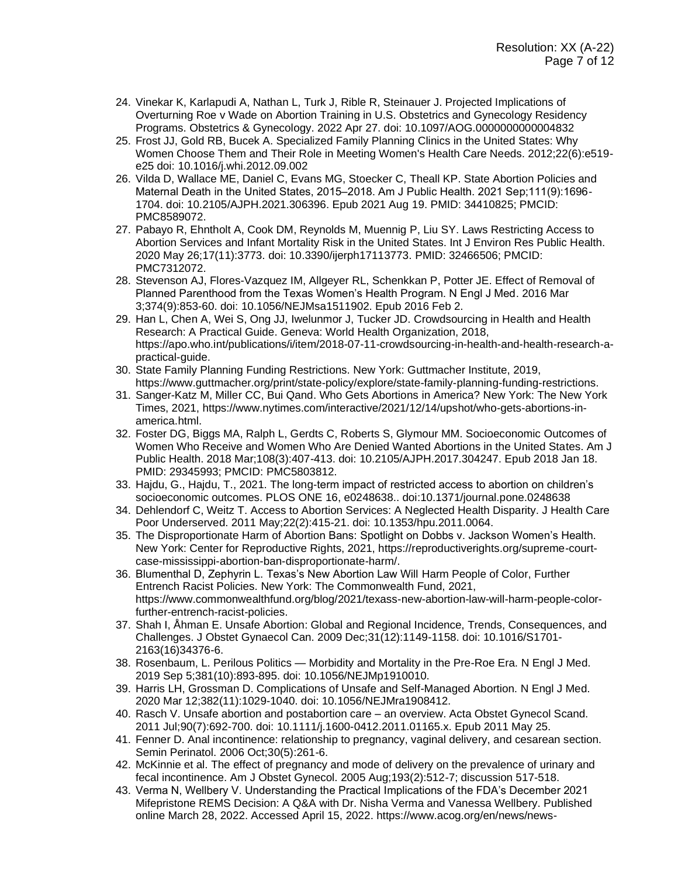- 24. Vinekar K, Karlapudi A, Nathan L, Turk J, Rible R, Steinauer J. Projected Implications of Overturning Roe v Wade on Abortion Training in U.S. Obstetrics and Gynecology Residency Programs. Obstetrics & Gynecology. 2022 Apr 27. doi: 10.1097/AOG.0000000000004832
- 25. Frost JJ, Gold RB, Bucek A. Specialized Family Planning Clinics in the United States: Why Women Choose Them and Their Role in Meeting Women's Health Care Needs. 2012;22(6):e519 e25 doi: 10.1016/j.whi.2012.09.002
- 26. Vilda D, Wallace ME, Daniel C, Evans MG, Stoecker C, Theall KP. State Abortion Policies and Maternal Death in the United States, 2015–2018. Am J Public Health. 2021 Sep;111(9):1696-1704. doi: 10.2105/AJPH.2021.306396. Epub 2021 Aug 19. PMID: 34410825; PMCID: PMC8589072.
- 27. Pabayo R, Ehntholt A, Cook DM, Reynolds M, Muennig P, Liu SY. Laws Restricting Access to Abortion Services and Infant Mortality Risk in the United States. Int J Environ Res Public Health. 2020 May 26;17(11):3773. doi: 10.3390/ijerph17113773. PMID: 32466506; PMCID: PMC7312072.
- 28. Stevenson AJ, Flores-Vazquez IM, Allgeyer RL, Schenkkan P, Potter JE. Effect of Removal of Planned Parenthood from the Texas Women's Health Program. N Engl J Med. 2016 Mar 3;374(9):853-60. doi: 10.1056/NEJMsa1511902. Epub 2016 Feb 2.
- 29. Han L, Chen A, Wei S, Ong JJ, Iwelunmor J, Tucker JD. Crowdsourcing in Health and Health Research: A Practical Guide. Geneva: World Health Organization, 2018, https://apo.who.int/publications/i/item/2018-07-11-crowdsourcing-in-health-and-health-research-apractical-guide.
- 30. State Family Planning Funding Restrictions. New York: Guttmacher Institute, 2019, https://www.guttmacher.org/print/state-policy/explore/state-family-planning-funding-restrictions.
- 31. Sanger-Katz M, Miller CC, Bui Qand. Who Gets Abortions in America? New York: The New York Times, 2021, https://www.nytimes.com/interactive/2021/12/14/upshot/who-gets-abortions-inamerica.html.
- 32. Foster DG, Biggs MA, Ralph L, Gerdts C, Roberts S, Glymour MM. Socioeconomic Outcomes of Women Who Receive and Women Who Are Denied Wanted Abortions in the United States. Am J Public Health. 2018 Mar;108(3):407-413. doi: 10.2105/AJPH.2017.304247. Epub 2018 Jan 18. PMID: 29345993; PMCID: PMC5803812.
- 33. Hajdu, G., Hajdu, T., 2021. The long-term impact of restricted access to abortion on children's socioeconomic outcomes. PLOS ONE 16, e0248638.. doi:10.1371/journal.pone.0248638
- 34. Dehlendorf C, Weitz T. Access to Abortion Services: A Neglected Health Disparity. J Health Care Poor Underserved. 2011 May;22(2):415-21. doi: 10.1353/hpu.2011.0064.
- 35. The Disproportionate Harm of Abortion Bans: Spotlight on Dobbs v. Jackson Women's Health. New York: Center for Reproductive Rights, 2021, https://reproductiverights.org/supreme-courtcase-mississippi-abortion-ban-disproportionate-harm/.
- 36. Blumenthal D, Zephyrin L. Texas's New Abortion Law Will Harm People of Color, Further Entrench Racist Policies. New York: The Commonwealth Fund, 2021, https://www.commonwealthfund.org/blog/2021/texass-new-abortion-law-will-harm-people-colorfurther-entrench-racist-policies.
- 37. Shah I, Åhman E. Unsafe Abortion: Global and Regional Incidence, Trends, Consequences, and Challenges. J Obstet Gynaecol Can. 2009 Dec;31(12):1149-1158. doi: 10.1016/S1701- 2163(16)34376-6.
- 38. Rosenbaum, L. Perilous Politics Morbidity and Mortality in the Pre-Roe Era. N Engl J Med. 2019 Sep 5;381(10):893-895. doi: 10.1056/NEJMp1910010.
- 39. Harris LH, Grossman D. Complications of Unsafe and Self-Managed Abortion. N Engl J Med. 2020 Mar 12;382(11):1029-1040. doi: 10.1056/NEJMra1908412.
- 40. Rasch V. Unsafe abortion and postabortion care an overview. Acta Obstet Gynecol Scand. 2011 Jul;90(7):692-700. doi: 10.1111/j.1600-0412.2011.01165.x. Epub 2011 May 25.
- 41. Fenner D. Anal incontinence: relationship to pregnancy, vaginal delivery, and cesarean section. Semin Perinatol. 2006 Oct;30(5):261-6.
- 42. McKinnie et al. The effect of pregnancy and mode of delivery on the prevalence of urinary and fecal incontinence. Am J Obstet Gynecol. 2005 Aug;193(2):512-7; discussion 517-518.
- 43. Verma N, Wellbery V. Understanding the Practical Implications of the FDA's December 2021 Mifepristone REMS Decision: A Q&A with Dr. Nisha Verma and Vanessa Wellbery. Published online March 28, 2022. Accessed April 15, 2022. https://www.acog.org/en/news/news-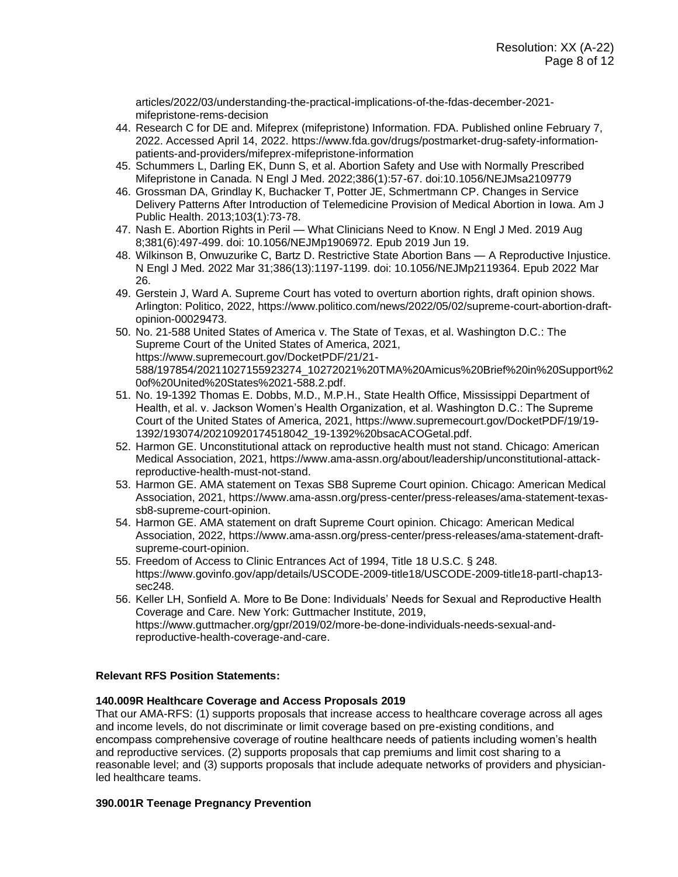articles/2022/03/understanding-the-practical-implications-of-the-fdas-december-2021 mifepristone-rems-decision

- 44. Research C for DE and. Mifeprex (mifepristone) Information. FDA. Published online February 7, 2022. Accessed April 14, 2022. https://www.fda.gov/drugs/postmarket-drug-safety-informationpatients-and-providers/mifeprex-mifepristone-information
- 45. Schummers L, Darling EK, Dunn S, et al. Abortion Safety and Use with Normally Prescribed Mifepristone in Canada. N Engl J Med. 2022;386(1):57-67. doi:10.1056/NEJMsa2109779
- 46. Grossman DA, Grindlay K, Buchacker T, Potter JE, Schmertmann CP. Changes in Service Delivery Patterns After Introduction of Telemedicine Provision of Medical Abortion in Iowa. Am J Public Health. 2013;103(1):73-78.
- 47. Nash E. Abortion Rights in Peril What Clinicians Need to Know. N Engl J Med. 2019 Aug 8;381(6):497-499. doi: 10.1056/NEJMp1906972. Epub 2019 Jun 19.
- 48. Wilkinson B, Onwuzurike C, Bartz D. Restrictive State Abortion Bans A Reproductive Injustice. N Engl J Med. 2022 Mar 31;386(13):1197-1199. doi: 10.1056/NEJMp2119364. Epub 2022 Mar 26.
- 49. Gerstein J, Ward A. Supreme Court has voted to overturn abortion rights, draft opinion shows. Arlington: Politico, 2022, https://www.politico.com/news/2022/05/02/supreme-court-abortion-draftopinion-00029473.
- 50. No. 21-588 United States of America v. The State of Texas, et al. Washington D.C.: The Supreme Court of the United States of America, 2021, https://www.supremecourt.gov/DocketPDF/21/21- 588/197854/20211027155923274\_10272021%20TMA%20Amicus%20Brief%20in%20Support%2 0of%20United%20States%2021-588.2.pdf.
- 51. No. 19-1392 Thomas E. Dobbs, M.D., M.P.H., State Health Office, Mississippi Department of Health, et al. v. Jackson Women's Health Organization, et al. Washington D.C.: The Supreme Court of the United States of America, 2021, https://www.supremecourt.gov/DocketPDF/19/19- 1392/193074/20210920174518042\_19-1392%20bsacACOGetal.pdf.
- 52. Harmon GE. Unconstitutional attack on reproductive health must not stand. Chicago: American Medical Association, 2021, https://www.ama-assn.org/about/leadership/unconstitutional-attackreproductive-health-must-not-stand.
- 53. Harmon GE. AMA statement on Texas SB8 Supreme Court opinion. Chicago: American Medical Association, 2021, https://www.ama-assn.org/press-center/press-releases/ama-statement-texassb8-supreme-court-opinion.
- 54. Harmon GE. AMA statement on draft Supreme Court opinion. Chicago: American Medical Association, 2022, https://www.ama-assn.org/press-center/press-releases/ama-statement-draftsupreme-court-opinion.
- 55. Freedom of Access to Clinic Entrances Act of 1994, Title 18 U.S.C. § 248. https://www.govinfo.gov/app/details/USCODE-2009-title18/USCODE-2009-title18-partI-chap13 sec248.
- 56. Keller LH, Sonfield A. More to Be Done: Individuals' Needs for Sexual and Reproductive Health Coverage and Care. New York: Guttmacher Institute, 2019, https://www.guttmacher.org/gpr/2019/02/more-be-done-individuals-needs-sexual-andreproductive-health-coverage-and-care.

# **Relevant RFS Position Statements:**

# **140.009R Healthcare Coverage and Access Proposals 2019**

That our AMA-RFS: (1) supports proposals that increase access to healthcare coverage across all ages and income levels, do not discriminate or limit coverage based on pre-existing conditions, and encompass comprehensive coverage of routine healthcare needs of patients including women's health and reproductive services. (2) supports proposals that cap premiums and limit cost sharing to a reasonable level; and (3) supports proposals that include adequate networks of providers and physicianled healthcare teams.

#### **390.001R Teenage Pregnancy Prevention**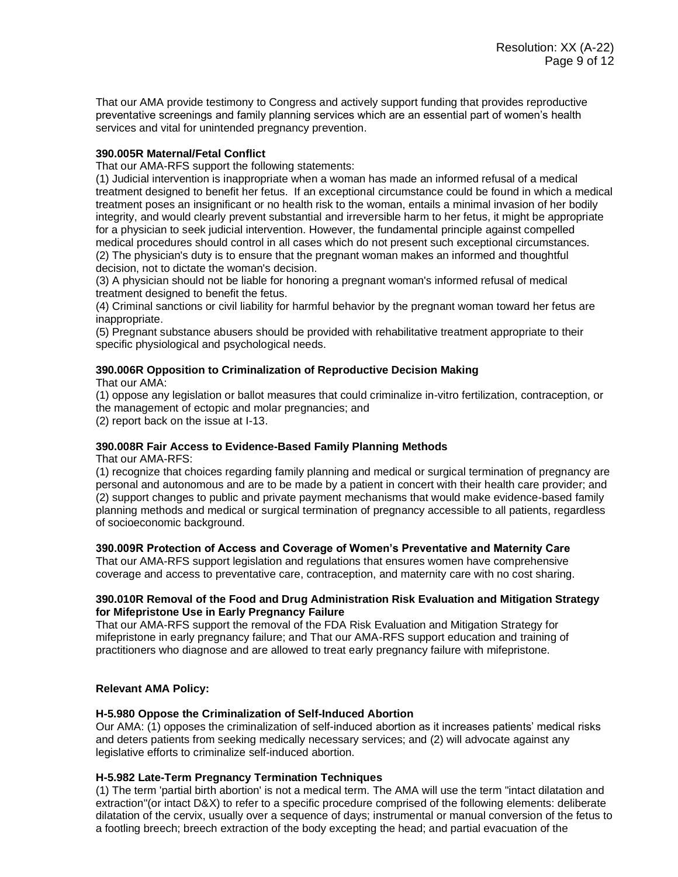That our AMA provide testimony to Congress and actively support funding that provides reproductive preventative screenings and family planning services which are an essential part of women's health services and vital for unintended pregnancy prevention.

# **390.005R Maternal/Fetal Conflict**

That our AMA-RFS support the following statements:

(1) Judicial intervention is inappropriate when a woman has made an informed refusal of a medical treatment designed to benefit her fetus. If an exceptional circumstance could be found in which a medical treatment poses an insignificant or no health risk to the woman, entails a minimal invasion of her bodily integrity, and would clearly prevent substantial and irreversible harm to her fetus, it might be appropriate for a physician to seek judicial intervention. However, the fundamental principle against compelled medical procedures should control in all cases which do not present such exceptional circumstances. (2) The physician's duty is to ensure that the pregnant woman makes an informed and thoughtful decision, not to dictate the woman's decision.

(3) A physician should not be liable for honoring a pregnant woman's informed refusal of medical treatment designed to benefit the fetus.

(4) Criminal sanctions or civil liability for harmful behavior by the pregnant woman toward her fetus are inappropriate.

(5) Pregnant substance abusers should be provided with rehabilitative treatment appropriate to their specific physiological and psychological needs.

#### **390.006R Opposition to Criminalization of Reproductive Decision Making** That our AMA:

(1) oppose any legislation or ballot measures that could criminalize in-vitro fertilization, contraception, or the management of ectopic and molar pregnancies; and

(2) report back on the issue at I-13.

#### **390.008R Fair Access to Evidence-Based Family Planning Methods**

That our AMA-RFS:

(1) recognize that choices regarding family planning and medical or surgical termination of pregnancy are personal and autonomous and are to be made by a patient in concert with their health care provider; and (2) support changes to public and private payment mechanisms that would make evidence-based family planning methods and medical or surgical termination of pregnancy accessible to all patients, regardless of socioeconomic background.

#### **390.009R Protection of Access and Coverage of Women's Preventative and Maternity Care**

That our AMA-RFS support legislation and regulations that ensures women have comprehensive coverage and access to preventative care, contraception, and maternity care with no cost sharing.

#### **390.010R Removal of the Food and Drug Administration Risk Evaluation and Mitigation Strategy for Mifepristone Use in Early Pregnancy Failure**

That our AMA-RFS support the removal of the FDA Risk Evaluation and Mitigation Strategy for mifepristone in early pregnancy failure; and That our AMA-RFS support education and training of practitioners who diagnose and are allowed to treat early pregnancy failure with mifepristone.

#### **Relevant AMA Policy:**

#### **H-5.980 Oppose the Criminalization of Self-Induced Abortion**

Our AMA: (1) opposes the criminalization of self-induced abortion as it increases patients' medical risks and deters patients from seeking medically necessary services; and (2) will advocate against any legislative efforts to criminalize self-induced abortion.

#### **H-5.982 Late-Term Pregnancy Termination Techniques**

(1) The term 'partial birth abortion' is not a medical term. The AMA will use the term "intact dilatation and extraction"(or intact D&X) to refer to a specific procedure comprised of the following elements: deliberate dilatation of the cervix, usually over a sequence of days; instrumental or manual conversion of the fetus to a footling breech; breech extraction of the body excepting the head; and partial evacuation of the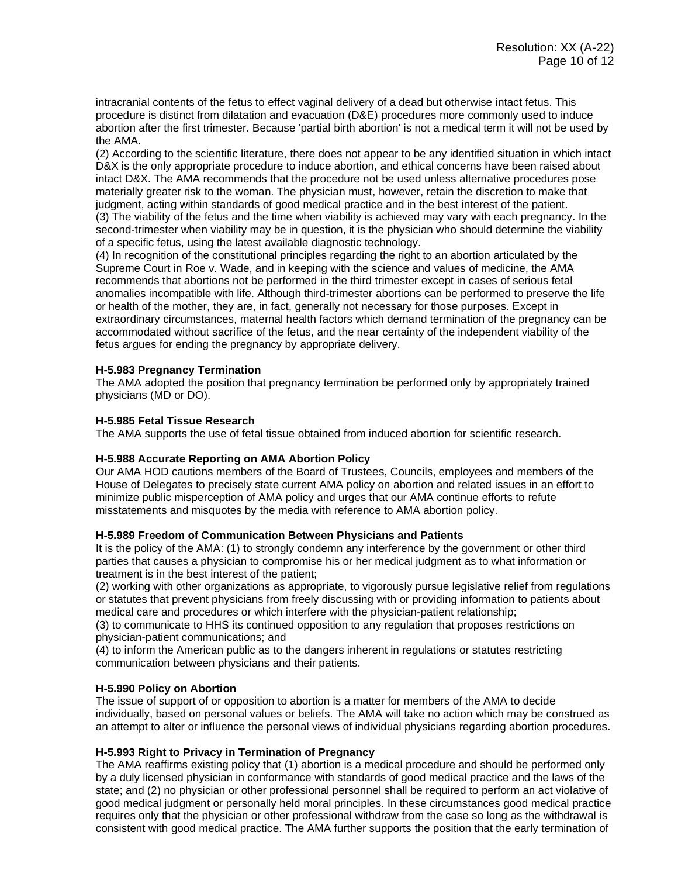intracranial contents of the fetus to effect vaginal delivery of a dead but otherwise intact fetus. This procedure is distinct from dilatation and evacuation (D&E) procedures more commonly used to induce abortion after the first trimester. Because 'partial birth abortion' is not a medical term it will not be used by the AMA.

(2) According to the scientific literature, there does not appear to be any identified situation in which intact D&X is the only appropriate procedure to induce abortion, and ethical concerns have been raised about intact D&X. The AMA recommends that the procedure not be used unless alternative procedures pose materially greater risk to the woman. The physician must, however, retain the discretion to make that judgment, acting within standards of good medical practice and in the best interest of the patient. (3) The viability of the fetus and the time when viability is achieved may vary with each pregnancy. In the second-trimester when viability may be in question, it is the physician who should determine the viability of a specific fetus, using the latest available diagnostic technology.

(4) In recognition of the constitutional principles regarding the right to an abortion articulated by the Supreme Court in Roe v. Wade, and in keeping with the science and values of medicine, the AMA recommends that abortions not be performed in the third trimester except in cases of serious fetal anomalies incompatible with life. Although third-trimester abortions can be performed to preserve the life or health of the mother, they are, in fact, generally not necessary for those purposes. Except in extraordinary circumstances, maternal health factors which demand termination of the pregnancy can be accommodated without sacrifice of the fetus, and the near certainty of the independent viability of the fetus argues for ending the pregnancy by appropriate delivery.

# **H-5.983 Pregnancy Termination**

The AMA adopted the position that pregnancy termination be performed only by appropriately trained physicians (MD or DO).

#### **H-5.985 Fetal Tissue Research**

The AMA supports the use of fetal tissue obtained from induced abortion for scientific research.

#### **H-5.988 Accurate Reporting on AMA Abortion Policy**

Our AMA HOD cautions members of the Board of Trustees, Councils, employees and members of the House of Delegates to precisely state current AMA policy on abortion and related issues in an effort to minimize public misperception of AMA policy and urges that our AMA continue efforts to refute misstatements and misquotes by the media with reference to AMA abortion policy.

### **H-5.989 Freedom of Communication Between Physicians and Patients**

It is the policy of the AMA: (1) to strongly condemn any interference by the government or other third parties that causes a physician to compromise his or her medical judgment as to what information or treatment is in the best interest of the patient;

(2) working with other organizations as appropriate, to vigorously pursue legislative relief from regulations or statutes that prevent physicians from freely discussing with or providing information to patients about medical care and procedures or which interfere with the physician-patient relationship;

(3) to communicate to HHS its continued opposition to any regulation that proposes restrictions on physician-patient communications; and

(4) to inform the American public as to the dangers inherent in regulations or statutes restricting communication between physicians and their patients.

#### **H-5.990 Policy on Abortion**

The issue of support of or opposition to abortion is a matter for members of the AMA to decide individually, based on personal values or beliefs. The AMA will take no action which may be construed as an attempt to alter or influence the personal views of individual physicians regarding abortion procedures.

# **H-5.993 Right to Privacy in Termination of Pregnancy**

The AMA reaffirms existing policy that (1) abortion is a medical procedure and should be performed only by a duly licensed physician in conformance with standards of good medical practice and the laws of the state; and (2) no physician or other professional personnel shall be required to perform an act violative of good medical judgment or personally held moral principles. In these circumstances good medical practice requires only that the physician or other professional withdraw from the case so long as the withdrawal is consistent with good medical practice. The AMA further supports the position that the early termination of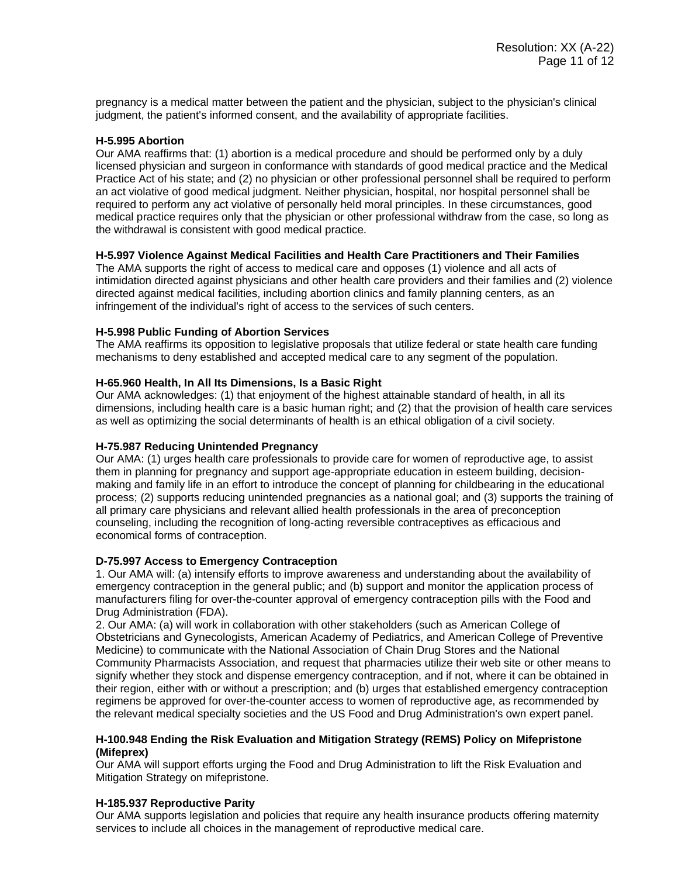pregnancy is a medical matter between the patient and the physician, subject to the physician's clinical judgment, the patient's informed consent, and the availability of appropriate facilities.

# **H-5.995 Abortion**

Our AMA reaffirms that: (1) abortion is a medical procedure and should be performed only by a duly licensed physician and surgeon in conformance with standards of good medical practice and the Medical Practice Act of his state; and (2) no physician or other professional personnel shall be required to perform an act violative of good medical judgment. Neither physician, hospital, nor hospital personnel shall be required to perform any act violative of personally held moral principles. In these circumstances, good medical practice requires only that the physician or other professional withdraw from the case, so long as the withdrawal is consistent with good medical practice.

# **H-5.997 Violence Against Medical Facilities and Health Care Practitioners and Their Families**

The AMA supports the right of access to medical care and opposes (1) violence and all acts of intimidation directed against physicians and other health care providers and their families and (2) violence directed against medical facilities, including abortion clinics and family planning centers, as an infringement of the individual's right of access to the services of such centers.

# **H-5.998 Public Funding of Abortion Services**

The AMA reaffirms its opposition to legislative proposals that utilize federal or state health care funding mechanisms to deny established and accepted medical care to any segment of the population.

# **H-65.960 Health, In All Its Dimensions, Is a Basic Right**

Our AMA acknowledges: (1) that enjoyment of the highest attainable standard of health, in all its dimensions, including health care is a basic human right; and (2) that the provision of health care services as well as optimizing the social determinants of health is an ethical obligation of a civil society.

#### **H-75.987 Reducing Unintended Pregnancy**

Our AMA: (1) urges health care professionals to provide care for women of reproductive age, to assist them in planning for pregnancy and support age-appropriate education in esteem building, decisionmaking and family life in an effort to introduce the concept of planning for childbearing in the educational process; (2) supports reducing unintended pregnancies as a national goal; and (3) supports the training of all primary care physicians and relevant allied health professionals in the area of preconception counseling, including the recognition of long-acting reversible contraceptives as efficacious and economical forms of contraception.

#### **D-75.997 Access to Emergency Contraception**

1. Our AMA will: (a) intensify efforts to improve awareness and understanding about the availability of emergency contraception in the general public; and (b) support and monitor the application process of manufacturers filing for over-the-counter approval of emergency contraception pills with the Food and Drug Administration (FDA).

2. Our AMA: (a) will work in collaboration with other stakeholders (such as American College of Obstetricians and Gynecologists, American Academy of Pediatrics, and American College of Preventive Medicine) to communicate with the National Association of Chain Drug Stores and the National Community Pharmacists Association, and request that pharmacies utilize their web site or other means to signify whether they stock and dispense emergency contraception, and if not, where it can be obtained in their region, either with or without a prescription; and (b) urges that established emergency contraception regimens be approved for over-the-counter access to women of reproductive age, as recommended by the relevant medical specialty societies and the US Food and Drug Administration's own expert panel.

#### **H-100.948 Ending the Risk Evaluation and Mitigation Strategy (REMS) Policy on Mifepristone (Mifeprex)**

Our AMA will support efforts urging the Food and Drug Administration to lift the Risk Evaluation and Mitigation Strategy on mifepristone.

#### **H-185.937 Reproductive Parity**

Our AMA supports legislation and policies that require any health insurance products offering maternity services to include all choices in the management of reproductive medical care.